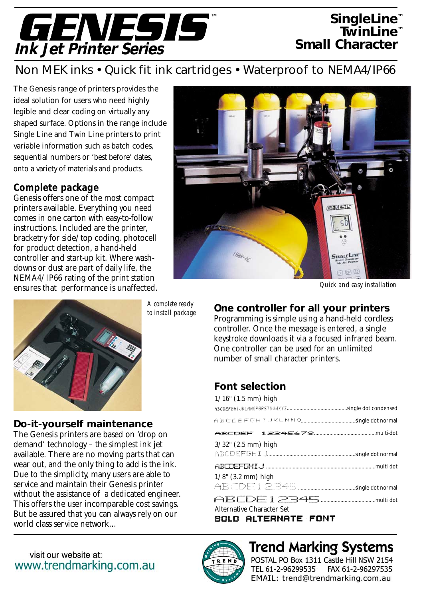

## *SingleLine™ TwinLine™ Small Character™*

## *Non MEK inks • Quick fit ink cartridges • Waterproof to NEMA4/IP66*

The Genesis range of printers provides the ideal solution for users who need highly legible and clear coding on virtually any shaped surface. Options in the range include Single Line and Twin Line printers to print variable information such as batch codes, sequential numbers or 'best before' dates, onto a variety of materials and products.

#### **Complete package**

Genesis offers one of the most compact printers available. Everything you need comes in one carton with easy-to-follow instructions. Included are the printer, bracketry for side/top coding, photocell for product detection, a hand-held controller and start-up kit. Where washdowns or dust are part of daily life, the NEMA4/IP66 rating of the print station ensures that performance is unaffected.



**Do-it-yourself maintenance** The Genesis printers are based on 'drop on demand' technology – the simplest ink jet available. There are no moving parts that can wear out, and the only thing to add is the ink. Due to the simplicity, many users are able to service and maintain their Genesis printer without the assistance of a dedicated engineer. This offers the user incomparable cost savings. But be assured that you can always rely on our

*A complete ready to install package*



*Quick and easy installation*

#### **One controller for all your printers**

Programming is simple using a hand-held cordless controller. Once the message is entered, a single keystroke downloads it via a focused infrared beam. One controller can be used for an unlimited number of small character printers.

### **Font selection**

| $1/16$ " (1.5 mm) high           |
|----------------------------------|
|                                  |
|                                  |
|                                  |
| $3/32$ " $(2.5 \text{ mm})$ high |
|                                  |
|                                  |
| $1/8$ " (3.2 mm) high            |
|                                  |
|                                  |
| Alternative Character Set        |

**BOLD ALTERNATE FONT** 



world class service network…



# **Trend Marking Systems**

POSTAL PO Box 1311 Castle Hill NSW 2154 TEL 61-2-96299535 FAX 61-2-96297535 EMAIL: trend@trendmarking.com.au